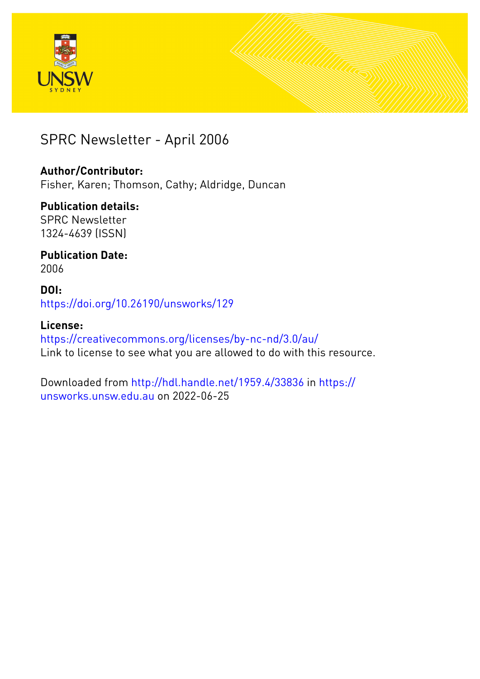



### SPRC Newsletter - April 2006

### **Author/Contributor:**

Fisher, Karen; Thomson, Cathy; Aldridge, Duncan

### **Publication details:**

SPRC Newsletter 1324-4639 (ISSN)

#### **Publication Date:** 2006

### **DOI:** [https://doi.org/10.26190/unsworks/129](http://dx.doi.org/https://doi.org/10.26190/unsworks/129)

### **License:** <https://creativecommons.org/licenses/by-nc-nd/3.0/au/>

Link to license to see what you are allowed to do with this resource.

Downloaded from <http://hdl.handle.net/1959.4/33836> in [https://](https://unsworks.unsw.edu.au) [unsworks.unsw.edu.au](https://unsworks.unsw.edu.au) on 2022-06-25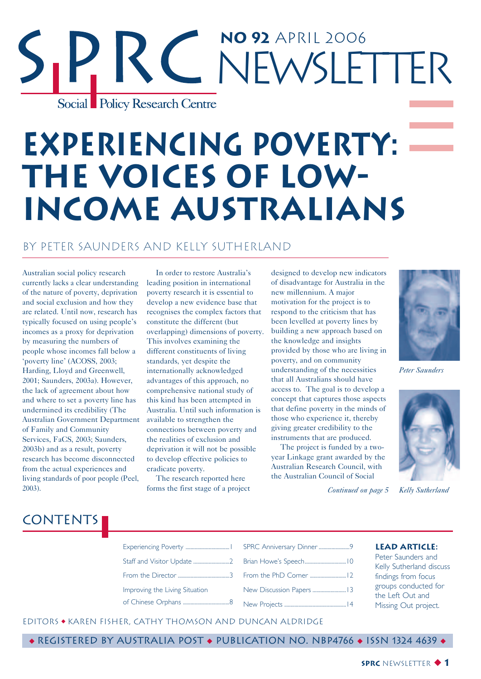## **No 92** April 2006 RC NEWSLETTER Social Policy Research Centre

# **Experiencing Poverty: The Voices of Low-Income Australians**

#### By Peter Saunders and Kelly Sutherland

Australian social policy research currently lacks a clear understanding of the nature of poverty, deprivation and social exclusion and how they are related. Until now, research has typically focused on using people's incomes as a proxy for deprivation by measuring the numbers of people whose incomes fall below a 'poverty line' (ACOSS, 2003; Harding, Lloyd and Greenwell, 2001; Saunders, 2003a). However, the lack of agreement about how and where to set a poverty line has undermined its credibility (The Australian Government Department of Family and Community Services, FaCS, 2003; Saunders, 2003b) and as a result, poverty research has become disconnected from the actual experiences and living standards of poor people (Peel, 2003).

In order to restore Australia's leading position in international poverty research it is essential to develop a new evidence base that recognises the complex factors that constitute the different (but overlapping) dimensions of poverty. This involves examining the different constituents of living standards, yet despite the internationally acknowledged advantages of this approach, no comprehensive national study of this kind has been attempted in Australia. Until such information is available to strengthen the connections between poverty and the realities of exclusion and deprivation it will not be possible to develop effective policies to eradicate poverty.

The research reported here forms the first stage of a project

designed to develop new indicators of disadvantage for Australia in the new millennium. A major motivation for the project is to respond to the criticism that has been levelled at poverty lines by building a new approach based on the knowledge and insights provided by those who are living in poverty, and on community understanding of the necessities that all Australians should have access to. The goal is to develop a concept that captures those aspects that define poverty in the minds of those who experience it, thereby giving greater credibility to the instruments that are produced.

The project is funded by a twoyear Linkage grant awarded by the Australian Research Council, with the Australian Council of Social



*Peter Saunders*



*Continued on page 5*

### **CONTENTS**

Experiencing Poverty ..................................1 SPRC Anniversary Dinner ........................9 Staff and Visitor Update ...............................2 Brian Howe's Speech................................. From the Director ........................................3 Improving the Living Situation of Chinese Orphans ....................................8 From the PhD Corner ............................12 New Discussion Papers ..........................13 New Projects ................................................14

#### **Lead Article:**

Peter Saunders and Kelly Sutherland discuss findings from focus groups conducted for the Left Out and Missing Out project.

#### EditorS ◆ Karen Fisher, Cathy Thomson and Duncan Aldridge

◆ Registered by Australia Post ◆ Publication No. NBP4766 ◆ ISSN 1324 4639 ◆

#### **SPRC** NEWSLETTER ◆ **1**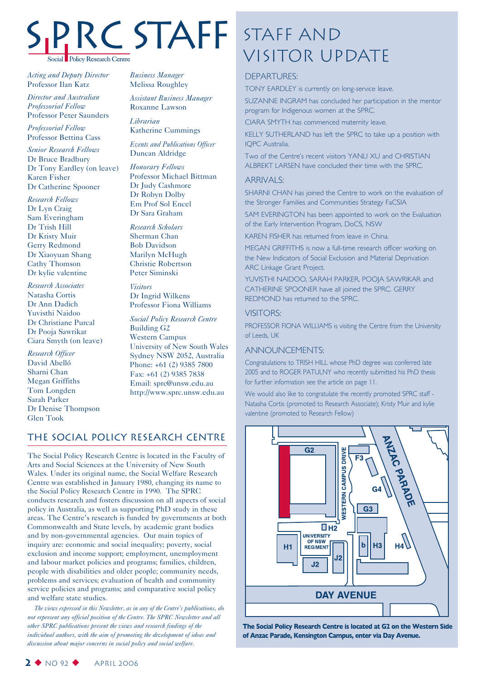# Social Policy Research Centre

*Acting and Deputy Director* Professor Ilan Katz

*Director and Australian Professorial Fellow* Professor Peter Saunders

*Professorial Fellow* Professor Bettina Cass

*Senior Research Fellows* Dr Bruce Bradbury Dr Tony Eardley (on leave) Karen Fisher Dr Catherine Spooner

*Research Fellows* Dr Lyn Craig Sam Everingham Dr Trish Hill Dr Kristy Muir Gerry Redmond Dr Xiaoyuan Shang Cathy Thomson Dr kylie valentine

*Research Associates* Natasha Cortis Dr Ann Dadich Yuvisthi Naidoo Dr Christiane Purcal Dr Pooja Sawrikar Ciara Smyth (on leave)

*Research Officer* David Abelló Sharni Chan Megan Griffiths Tom Longden Sarah Parker Dr Denise Thompson Glen Took

*Business Manager* Melissa Roughley

*Assistant Business Manager* Roxanne Lawson

*Librarian* Katherine Cummings

*Events and Publications Officer* Duncan Aldridge

*Honorary Fellows* Professor Michael Bittman Dr Judy Cashmore Dr Robyn Dolby Em Prof Sol Encel Dr Sara Graham

*Research Scholars* Sherman Chan Bob Davidson Marilyn McHugh Christie Robertson Peter Siminski

*Visitors* Dr Ingrid Wilkens Professor Fiona Williams

*Social Policy Research Centre* Building G2 Western Campus University of New South Wales Sydney NSW 2052, Australia Phone: +61 (2) 9385 7800 Fax: +61 (2) 9385 7838 Email: sprc@unsw.edu.au http://www.sprc.unsw.edu.au

#### The Social Policy Research Centre

The Social Policy Research Centre is located in the Faculty of Arts and Social Sciences at the University of New South Wales. Under its original name, the Social Welfare Research Centre was established in January 1980, changing its name to the Social Policy Research Centre in 1990. The SPRC conducts research and fosters discussion on all aspects of social policy in Australia, as well as supporting PhD study in these areas. The Centre's research is funded by governments at both Commonwealth and State levels, by academic grant bodies and by non-governmental agencies. Our main topics of inquiry are: economic and social inequality; poverty, social exclusion and income support; employment, unemployment and labour market policies and programs; families, children, people with disabilities and older people; community needs, problems and services; evaluation of health and community service policies and programs; and comparative social policy and welfare state studies.

*The views expressed in this Newsletter, as in any of the Centre's publications, do not represent any official position of the Centre. The SPRC Newsletter and all other SPRC publications present the views and research findings of the individual authors, with the aim of promoting the development of ideas and discussion about major concerns in social policy and social welfare.*

## Staff and STAFF STAFF AND<br>VISITOR UPDATE

#### DEPARTURES:

TONY EARDLEY is currently on long-service leave.

SUZANNE INGRAM has concluded her participation in the mentor program for Indigenous women at the SPRC.

CIARA SMYTH has commenced maternity leave.

KELLY SUTHERLAND has left the SPRC to take up a position with IQPC Australia.

Two of the Centreís recent visitors YANLI XU and CHRISTIAN ALBREKT LARSEN have concluded their time with the SPRC.

#### ARRIVALS:

SHARNI CHAN has joined the Centre to work on the evaluation of the Stronger Families and Communities Strategy FaCSIA

SAM EVERINGTON has been appointed to work on the Evaluation of the Early Intervention Program, DoCS, NSW

KAREN FISHER has returned from leave in China.

MEGAN GRIFFITHS is now a full-time research officer working on the New Indicators of Social Exclusion and Material Deprivation ARC Linkage Grant Project.

YUVISTHI NAIDOO, SARAH PARKER, POOJA SAWRIKAR and CATHERINE SPOONER have all joined the SPRC. GERRY REDMOND has returned to the SPRC.

#### VISITORS:

PROFESSOR FIONA WILLIAMS is visiting the Centre from the University of Leeds, UK

#### ANNOUNCEMENTS:

Congratulations to TRISH HILL whose PhD degree was conferred late 2005 and to ROGER PATULNY who recently submitted his PhD thesis for further information see the article on page 11.

We would also like to congratulate the recently promoted SPRC staff -Natasha Cortis (promoted to Research Associate); Kristy Muir and kylie valentine (promoted to Research Fellow)



**The Social Policy Research Centre is located at G2 on the Western Side of Anzac Parade, Kensington Campus, enter via Day Avenue.**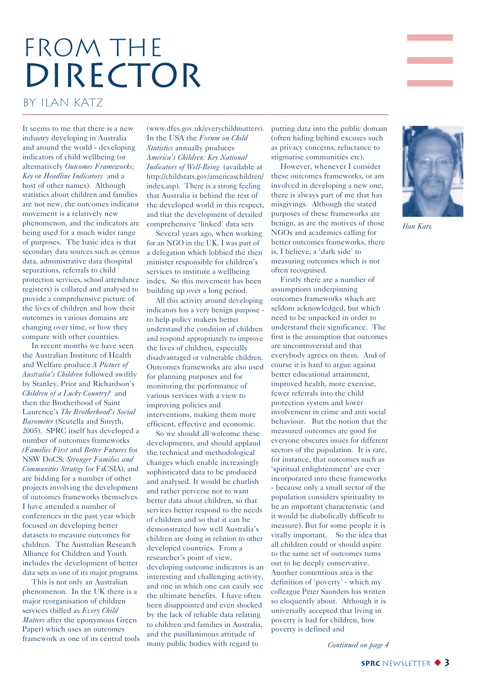## FROM THE DIRECTOR

by Ilan Katz

It seems to me that there is a new industry developing in Australia and around the world - developing indicators of child wellbeing (or alternatively *Outcomes Frameworks; Key* or *Headline Indicators* and a host of other names). Although statistics about children and families are not new, the outcomes indicator movement is a relatively new phenomenon, and the indicators are being used for a much wider range of purposes. The basic idea is that secondary data sources such as census data, administrative data (hospital separations, referrals to child protection services, school attendance registers) is collated and analysed to provide a comprehensive picture of the lives of children and how their outcomes in various domains are changing over time, or how they compare with other countries.

In recent months we have seen the Australian Institute of Health and Welfare produce *A Picture of Australia's Children* followed swiftly by Stanley, Prior and Richardson's *Children of a Lucky Country?* and then the Brotherhood of Saint Laurence's *The Brotherhood's Social Barometer* (Scutella and Smyth, 2005). SPRC itself has developed a number of outcomes frameworks *(Families First* and *Better Futures* for NSW DoCS; *Stronger Families and Communities Strategy* for FaCSIA), and are bidding for a number of other projects involving the development of outcomes frameworks themselves. I have attended a number of conferences in the past year which focused on developing better datasets to measure outcomes for children. The Australian Research Alliance for Children and Youth includes the development of better data sets as one of its major programs.

This is not only an Australian phenomenon. In the UK there is a major reorganisation of children services (billed as *Every Child Matters* after the eponymous Green Paper) which uses an outcomes framework as one of its central tools

(www.dfes.gov.uk/everychildmatters). In the USA the *Forum on Child Statistics* annually produces *America's Children: Key National Indicators of Well-Being* (available at http://childstats.gov/americaschildren/ index.asp). There is a strong feeling that Australia is behind the rest of the developed world in this respect, and that the development of detailed comprehensive 'linked' data sets

Several years ago, when working for an NGO in the UK, I was part of a delegation which lobbied the then minister responsible for children's services to institute a wellbeing index. So this movement has been building up over a long period.

All this activity around developing indicators has a very benign purpose to help policy makers better understand the condition of children and respond appropriately to improve the lives of children, especially disadvantaged or vulnerable children. Outcomes frameworks are also used for planning purposes and for monitoring the performance of various services with a view to improving policies and interventions, making them more efficient, effective and economic.

So we should all welcome these developments, and should applaud the technical and methodological changes which enable increasingly sophisticated data to be produced and analysed. It would be churlish and rather perverse not to want better data about children, so that services better respond to the needs of children and so that it can be demonstrated how well Australia's children are doing in relation to other developed countries. From a researcher's point of view, developing outcome indicators is an interesting and challenging activity, and one in which one can easily see the ultimate benefits. I have often been disappointed and even shocked by the lack of reliable data relating to children and families in Australia, and the pusillanimous attitude of many public bodies with regard to

putting data into the public domain (often hiding behind excuses such as privacy concerns, reluctance to stigmatise communities etc).

However, whenever I consider these outcomes frameworks, or am involved in developing a new one, there is always part of me that has misgivings. Although the stated purposes of these frameworks are benign, as are the motives of those NGOs and academics calling for better outcomes frameworks, there is, I believe, a 'dark side' to measuring outcomes which is not often recognised.

Firstly there are a number of assumptions underpinning outcomes frameworks which are seldom acknowledged, but which need to be unpacked in order to understand their significance. The first is the assumption that outcomes are uncontroversial and that everybody agrees on them. And of course it is hard to argue against better educational attainment, improved health, more exercise, fewer referrals into the child protection system and lower involvement in crime and anti social behaviour. But the notion that the measured outcomes are good for everyone obscures issues for different sectors of the population. It is rare, for instance, that outcomes such as 'spiritual enlightenment' are ever incorporated into these frameworks - because only a small sector of the population considers spirituality to be an important characteristic (and it would be diabolically difficult to measure). But for some people it is vitally important. So the idea that all children could or should aspire to the same set of outcomes turns out to be deeply conservative. Another contentious area is the definition of 'poverty' - which my colleague Peter Saunders has written so eloquently about. Although it is universally accepted that living in poverty is bad for children, how poverty is defined and



*Ilan Katz*

*Continued on page 4*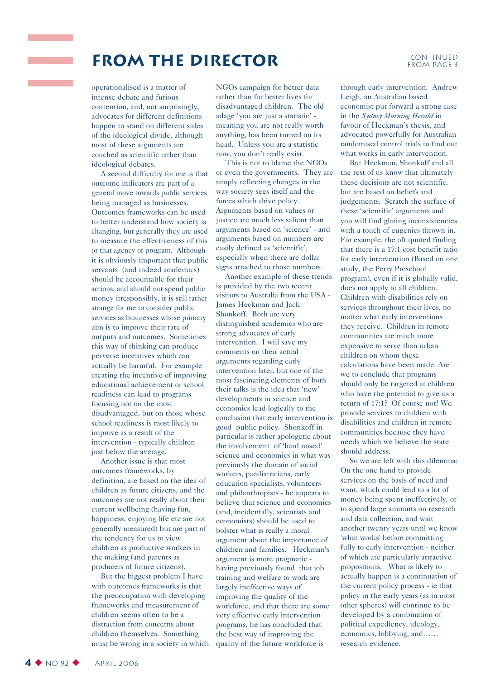### **FROM THE DIRECTOR** CONTINUED

### FROM PAGE 3

operationalised is a matter of intense debate and furious contention, and, not surprisingly, advocates for different definitions happen to stand on different sides of the ideological divide, although most of these arguments are couched as scientific rather than ideological debates.

and the state of the

A second difficulty for me is that outcome indicators are part of a general move towards public services being managed as businesses. Outcomes frameworks can be used to better understand how society is changing, but generally they are used to measure the effectiveness of this or that agency or program. Although it is obviously important that public servants (and indeed academics) should be accountable for their actions, and should not spend public money irresponsibly, it is still rather strange for me to consider public services as businesses whose primary aim is to improve their rate of outputs and outcomes. Sometimes this way of thinking can produce perverse incentives which can actually be harmful. For example creating the incentive of improving educational achievement or school readiness can lead to programs focusing not on the most disadvantaged, but on those whose school readiness is most likely to improve as a result of the intervention - typically children just below the average.

Another issue is that most outcomes frameworks, by definition, are based on the idea of children as future citizens, and the outcomes are not really about their current wellbeing (having fun, happiness, enjoying life etc are not generally measured) but are part of the tendency for us to view children as productive workers in the making (and parents as producers of future citizens).

But the biggest problem I have with outcomes frameworks is that the preoccupation with developing frameworks and measurement of children seems often to be a distraction from concerns about children themselves. Something must be wrong in a society in which NGOs campaign for better data rather than for better lives for disadvantaged children. The old adage 'you are just a statistic' meaning you are not really worth anything, has been turned on its head. Unless you are a statistic now, you don't really exist.

This is not to blame the NGOs or even the governments. They are simply reflecting changes in the way society sees itself and the forces which drive policy. Arguments based on values or justice are much less salient than arguments based on 'science' - and arguments based on numbers are easily defined as 'scientific', especially when there are dollar signs attached to those numbers.

Another example of these trends is provided by the two recent visitors to Australia from the USA - James Heckman and Jack Shonkoff. Both are very distinguished academics who are strong advocates of early intervention. I will save my comments on their actual arguments regarding early intervention later, but one of the most fascinating elements of both their talks is the idea that 'new' developments in science and economics lead logically to the conclusion that early intervention is good public policy. Shonkoff in particular is rather apologetic about the involvement of 'hard nosed' science and economics in what was previously the domain of social workers, paediatricians, early education specialists, volunteers and philanthropists - he appears to believe that science and economics (and, incidentally, scientists and economists) should be used to bolster what is really a moral argument about the importance of children and families. Heckman's argument is more pragmatic having previously found that job training and welfare to work are largely ineffective ways of improving the quality of the workforce, and that there are some very effective early intervention programs, he has concluded that the best way of improving the quality of the future workforce is

through early intervention. Andrew Leigh, an Australian based economist put forward a strong case in the *Sydney Morning Herald* in favour of Heckman's thesis, and advocated powerfully for Australian randomised control trials to find out what works in early intervention.

But Heckman, Shonkoff and all the rest of us know that ultimately these decisions are not scientific, but are based on beliefs and judgements. Scratch the surface of these 'scientific' arguments and you will find glaring inconsistencies with a touch of eugenics thrown in. For example, the oft quoted finding that there is a 17:1 cost benefit ratio for early intervention (Based on one study, the Perry Preschool program), even if it is globally valid, does not apply to all children. Children with disabilities rely on services throughout their lives, no matter what early interventions they receive. Children in remote communities are much more expensive to serve than urban children on whom these calculations have been made. Are we to conclude that programs should only be targeted at children who have the potential to give us a return of 17:1? Of course not! We provide services to children with disabilities and children in remote communities because they have needs which we believe the state should address.

So we are left with this dilemma: On the one hand to provide services on the basis of need and want, which could lead to a lot of money being spent ineffectively, or to spend large amounts on research and data collection, and wait another twenty years until we know 'what works' before committing fully to early intervention - neither of which are particularly attractive propositions. What is likely to actually happen is a continuation of the current policy process - ie that policy in the early years (as in most other spheres) will continue to be developed by a combination of political expediency, ideology, economics, lobbying, and…… research evidence.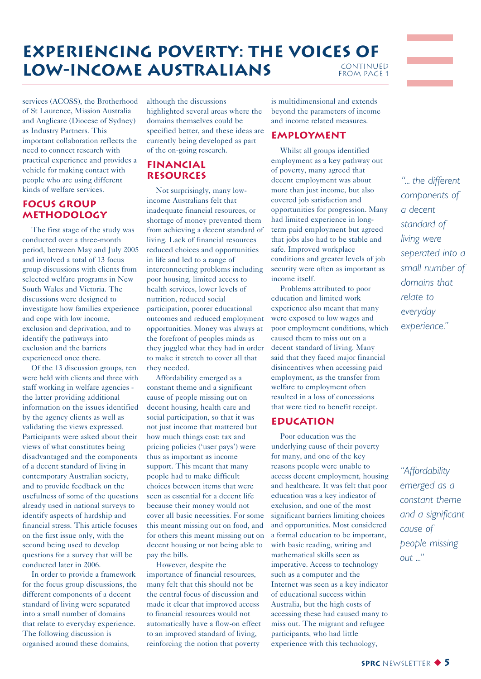#### **Experiencing Poverty: The Voices of LOW-INCOME AUSTRALIANS** CONTINUED<br>FROM PAGE 1

services (ACOSS), the Brotherhood of St Laurence, Mission Australia and Anglicare (Diocese of Sydney) as Industry Partners. This important collaboration reflects the need to connect research with practical experience and provides a vehicle for making contact with people who are using different kinds of welfare services.

#### **FOCUS GROUP METHODOLOGY**

The first stage of the study was conducted over a three-month period, between May and July 2005 and involved a total of 13 focus group discussions with clients from selected welfare programs in New South Wales and Victoria. The discussions were designed to investigate how families experience and cope with low income, exclusion and deprivation, and to identify the pathways into exclusion and the barriers experienced once there.

Of the 13 discussion groups, ten were held with clients and three with staff working in welfare agencies the latter providing additional information on the issues identified by the agency clients as well as validating the views expressed. Participants were asked about their views of what constitutes being disadvantaged and the components of a decent standard of living in contemporary Australian society, and to provide feedback on the usefulness of some of the questions already used in national surveys to identify aspects of hardship and financial stress. This article focuses on the first issue only, with the second being used to develop questions for a survey that will be conducted later in 2006.

In order to provide a framework for the focus group discussions, the different components of a decent standard of living were separated into a small number of domains that relate to everyday experience. The following discussion is organised around these domains,

although the discussions

highlighted several areas where the domains themselves could be specified better, and these ideas are currently being developed as part of the on-going research.

#### **FINANCIAL RESOURCES**

Not surprisingly, many lowincome Australians felt that inadequate financial resources, or shortage of money prevented them from achieving a decent standard of living. Lack of financial resources reduced choices and opportunities in life and led to a range of interconnecting problems including poor housing, limited access to health services, lower levels of nutrition, reduced social participation, poorer educational outcomes and reduced employment opportunities. Money was always at the forefront of peoples minds as they juggled what they had in order to make it stretch to cover all that they needed.

Affordability emerged as a constant theme and a significant cause of people missing out on decent housing, health care and social participation, so that it was not just income that mattered but how much things cost: tax and pricing policies ('user pays') were thus as important as income support. This meant that many people had to make difficult choices between items that were seen as essential for a decent life because their money would not cover all basic necessities. For some this meant missing out on food, and for others this meant missing out on decent housing or not being able to pay the bills.

However, despite the importance of financial resources, many felt that this should not be the central focus of discussion and made it clear that improved access to financial resources would not automatically have a flow-on effect to an improved standard of living, reinforcing the notion that poverty

is multidimensional and extends beyond the parameters of income and income related measures.

#### **EMPLOYMENT**

Whilst all groups identified employment as a key pathway out of poverty, many agreed that decent employment was about more than just income, but also covered job satisfaction and opportunities for progression. Many had limited experience in longterm paid employment but agreed that jobs also had to be stable and safe. Improved workplace conditions and greater levels of job security were often as important as income itself.

Problems attributed to poor education and limited work experience also meant that many were exposed to low wages and poor employment conditions, which caused them to miss out on a decent standard of living. Many said that they faced major financial disincentives when accessing paid employment, as the transfer from welfare to employment often resulted in a loss of concessions that were tied to benefit receipt.

#### **EDUCATION**

Poor education was the underlying cause of their poverty for many, and one of the key reasons people were unable to access decent employment, housing and healthcare. It was felt that poor education was a key indicator of exclusion, and one of the most significant barriers limiting choices and opportunities. Most considered a formal education to be important, with basic reading, writing and mathematical skills seen as imperative. Access to technology such as a computer and the Internet was seen as a key indicator of educational success within Australia, but the high costs of accessing these had caused many to miss out. The migrant and refugee participants, who had little experience with this technology,

*ì... the different components of a decent standard of living were seperated into a small number of domains that relate to everyday experience.î*

*ìAffordability emerged as a constant theme and a significant cause of people missing out ...î*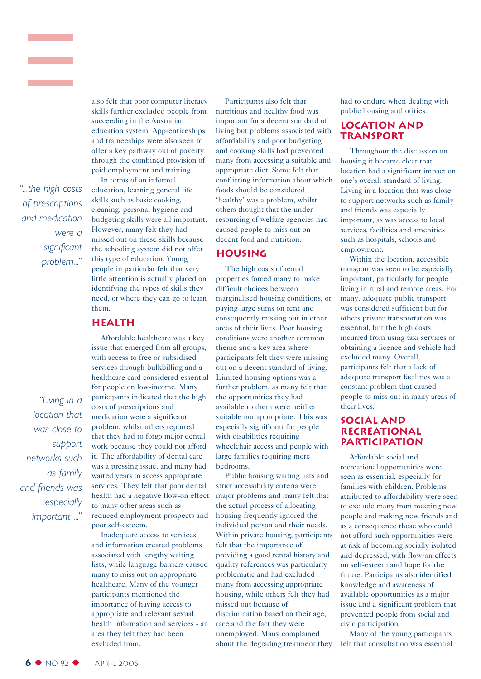*ì...the high costs of prescriptions and medication were a significant problem...î*

*ìLiving in a location that was close to support networks such as family and friends was especially important ...î*

skills further excluded people from succeeding in the Australian education system. Apprenticeships and traineeships were also seen to offer a key pathway out of poverty through the combined provision of paid employment and training. In terms of an informal

also felt that poor computer literacy

education, learning general life skills such as basic cooking, cleaning, personal hygiene and budgeting skills were all important. However, many felt they had missed out on these skills because the schooling system did not offer this type of education. Young people in particular felt that very little attention is actually placed on identifying the types of skills they need, or where they can go to learn them.

#### **HEALTH**

Affordable healthcare was a key issue that emerged from all groups, with access to free or subsidised services through bulkbilling and a healthcare card considered essential for people on low-income. Many participants indicated that the high costs of prescriptions and medication were a significant problem, whilst others reported that they had to forgo major dental work because they could not afford it. The affordability of dental care was a pressing issue, and many had waited years to access appropriate services. They felt that poor dental health had a negative flow-on effect to many other areas such as reduced employment prospects and poor self-esteem.

Inadequate access to services and information created problems associated with lengthy waiting lists, while language barriers caused many to miss out on appropriate healthcare. Many of the younger participants mentioned the importance of having access to appropriate and relevant sexual health information and services - an area they felt they had been excluded from.

Participants also felt that nutritious and healthy food was important for a decent standard of living but problems associated with affordability and poor budgeting and cooking skills had prevented many from accessing a suitable and appropriate diet. Some felt that conflicting information about which foods should be considered 'healthy' was a problem, whilst others thought that the underresourcing of welfare agencies had caused people to miss out on decent food and nutrition.

#### **HOUSING**

The high costs of rental properties forced many to make difficult choices between marginalised housing conditions, or paying large sums on rent and consequently missing out in other areas of their lives. Poor housing conditions were another common theme and a key area where participants felt they were missing out on a decent standard of living. Limited housing options was a further problem, as many felt that the opportunities they had available to them were neither suitable nor appropriate. This was especially significant for people with disabilities requiring wheelchair access and people with large families requiring more bedrooms.

Public housing waiting lists and strict accessibility criteria were major problems and many felt that the actual process of allocating housing frequently ignored the individual person and their needs. Within private housing, participants felt that the importance of providing a good rental history and quality references was particularly problematic and had excluded many from accessing appropriate housing, while others felt they had missed out because of discrimination based on their age, race and the fact they were unemployed. Many complained about the degrading treatment they had to endure when dealing with public housing authorities.

#### **LOCATION AND TRANSPORT**

Throughout the discussion on housing it became clear that location had a significant impact on one's overall standard of living. Living in a location that was close to support networks such as family and friends was especially important, as was access to local services, facilities and amenities such as hospitals, schools and employment.

Within the location, accessible transport was seen to be especially important, particularly for people living in rural and remote areas. For many, adequate public transport was considered sufficient but for others private transportation was essential, but the high costs incurred from using taxi services or obtaining a licence and vehicle had excluded many. Overall, participants felt that a lack of adequate transport facilities was a constant problem that caused people to miss out in many areas of their lives.

#### **SOCIAL AND RECREATIONAL PARTICIPATION**

Affordable social and recreational opportunities were seen as essential, especially for families with children. Problems attributed to affordability were seen to exclude many from meeting new people and making new friends and as a consequence those who could not afford such opportunities were at risk of becoming socially isolated and depressed, with flow-on effects on self-esteem and hope for the future. Participants also identified knowledge and awareness of available opportunities as a major issue and a significant problem that prevented people from social and civic participation.

Many of the young participants felt that consultation was essential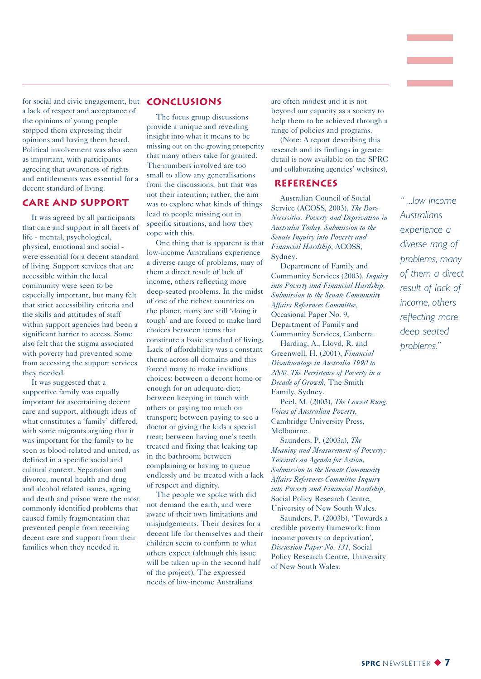for social and civic engagement, but **CONCLUSIONS** a lack of respect and acceptance of the opinions of young people stopped them expressing their opinions and having them heard. Political involvement was also seen as important, with participants agreeing that awareness of rights and entitlements was essential for a decent standard of living.

#### **CARE AND SUPPORT**

It was agreed by all participants that care and support in all facets of life - mental, psychological, physical, emotional and social were essential for a decent standard of living. Support services that are accessible within the local community were seen to be especially important, but many felt that strict accessibility criteria and the skills and attitudes of staff within support agencies had been a significant barrier to access. Some also felt that the stigma associated with poverty had prevented some from accessing the support services they needed.

It was suggested that a supportive family was equally important for ascertaining decent care and support, although ideas of what constitutes a 'family' differed, with some migrants arguing that it was important for the family to be seen as blood-related and united, as defined in a specific social and cultural context. Separation and divorce, mental health and drug and alcohol related issues, ageing and death and prison were the most commonly identified problems that caused family fragmentation that prevented people from receiving decent care and support from their families when they needed it.

The focus group discussions provide a unique and revealing insight into what it means to be missing out on the growing prosperity that many others take for granted. The numbers involved are too small to allow any generalisations from the discussions, but that was not their intention; rather, the aim was to explore what kinds of things lead to people missing out in specific situations, and how they cope with this.

One thing that is apparent is that low-income Australians experience a diverse range of problems, may of them a direct result of lack of income, others reflecting more deep-seated problems. In the midst of one of the richest countries on the planet, many are still 'doing it tough' and are forced to make hard choices between items that constitute a basic standard of living. Lack of affordability was a constant theme across all domains and this forced many to make invidious choices: between a decent home or enough for an adequate diet; between keeping in touch with others or paying too much on transport; between paying to see a doctor or giving the kids a special treat; between having one's teeth treated and fixing that leaking tap in the bathroom; between complaining or having to queue endlessly and be treated with a lack of respect and dignity.

The people we spoke with did not demand the earth, and were aware of their own limitations and misjudgements. Their desires for a decent life for themselves and their children seem to conform to what others expect (although this issue will be taken up in the second half of the project). The expressed needs of low-income Australians

are often modest and it is not beyond our capacity as a society to help them to be achieved through a range of policies and programs.

(Note: A report describing this research and its findings in greater detail is now available on the SPRC and collaborating agencies' websites).

#### **REFERENCES**

Australian Council of Social Service (ACOSS, 2003), *The Bare Necessities. Poverty and Deprivation in Australia Today. Submission to the Senate Inquiry into Poverty and Financial Hardship,* ACOSS, Sydney.

Department of Family and Community Services (2003), *Inquiry into Poverty and Financial Hardship. Submission to the Senate Community Affairs References Committee,* Occasional Paper No. 9, Department of Family and Community Services, Canberra.

Harding, A., Lloyd, R. and Greenwell, H. (2001), *Financial Disadvantage in Australia 1990 to 2000. The Persistence of Poverty in a Decade of Growth,* The Smith Family, Sydney.

Peel, M. (2003), *The Lowest Rung. Voices of Australian Poverty,* Cambridge University Press, Melbourne.

Saunders, P. (2003a), *The Meaning and Measurement of Poverty: Towards an Agenda for Action, Submission to the Senate Community Affairs References Committee Inquiry into Poverty and Financial Hardship,* Social Policy Research Centre, University of New South Wales.

Saunders, P. (2003b), 'Towards a credible poverty framework: from income poverty to deprivation', *Discussion Paper No. 131,* Social Policy Research Centre, University of New South Wales.

*ì ...low income Australians experience a diverse rang of problems, many of them a direct result of lack of income, others reflecting more deep seated problems.î*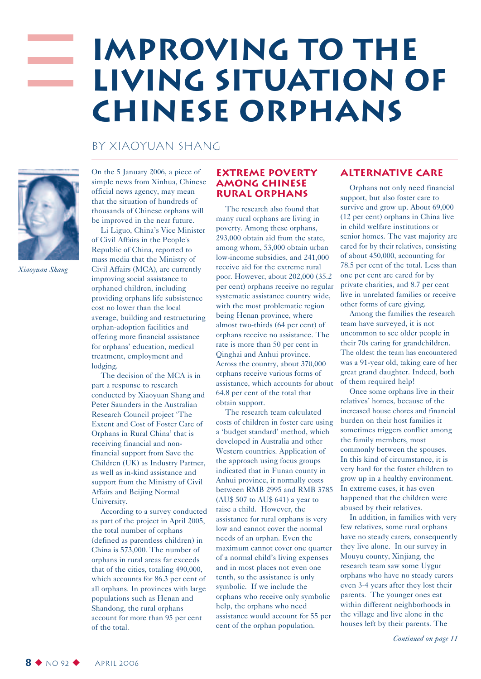## **Improving to the living situation of Chinese orphans**

#### By Xiaoyuan Shang



*Xiaoyuan Shang*

On the 5 January 2006, a piece of simple news from Xinhua, Chinese official news agency, may mean that the situation of hundreds of thousands of Chinese orphans will be improved in the near future.

Li Liguo, China's Vice Minister of Civil Affairs in the People's Republic of China, reported to mass media that the Ministry of Civil Affairs (MCA), are currently improving social assistance to orphaned children, including providing orphans life subsistence cost no lower than the local average, building and restructuring orphan-adoption facilities and offering more financial assistance for orphans' education, medical treatment, employment and lodging.

The decision of the MCA is in part a response to research conducted by Xiaoyuan Shang and Peter Saunders in the Australian Research Council project 'The Extent and Cost of Foster Care of Orphans in Rural China' that is receiving financial and nonfinancial support from Save the Children (UK) as Industry Partner, as well as in-kind assistance and support from the Ministry of Civil Affairs and Beijing Normal University.

According to a survey conducted as part of the project in April 2005, the total number of orphans (defined as parentless children) in China is 573,000. The number of orphans in rural areas far exceeds that of the cities, totaling 490,000, which accounts for 86.3 per cent of all orphans. In provinces with large populations such as Henan and Shandong, the rural orphans account for more than 95 per cent of the total.

#### **Extreme poverty among Chinese rural orphans**

The research also found that many rural orphans are living in poverty. Among these orphans, 293,000 obtain aid from the state, among whom, 53,000 obtain urban low-income subsidies, and 241,000 receive aid for the extreme rural poor. However, about 202,000 (35.2 per cent) orphans receive no regular systematic assistance country wide, with the most problematic region being Henan province, where almost two-thirds (64 per cent) of orphans receive no assistance. The rate is more than 50 per cent in Qinghai and Anhui province. Across the country, about 370,000 orphans receive various forms of assistance, which accounts for about 64.8 per cent of the total that obtain support.

The research team calculated costs of children in foster care using a 'budget standard' method, which developed in Australia and other Western countries. Application of the approach using focus groups indicated that in Funan county in Anhui province, it normally costs between RMB 2995 and RMB 3785 (AU\$ 507 to AU\$ 641) a year to raise a child. However, the assistance for rural orphans is very low and cannot cover the normal needs of an orphan. Even the maximum cannot cover one quarter of a normal child's living expenses and in most places not even one tenth, so the assistance is only symbolic. If we include the orphans who receive only symbolic help, the orphans who need assistance would account for 55 per cent of the orphan population.

#### **Alternative care**

Orphans not only need financial support, but also foster care to survive and grow up. About 69,000 (12 per cent) orphans in China live in child welfare institutions or senior homes. The vast majority are cared for by their relatives, consisting of about 450,000, accounting for 78.5 per cent of the total. Less than one per cent are cared for by private charities, and 8.7 per cent live in unrelated families or receive other forms of care giving.

Among the families the research team have surveyed, it is not uncommon to see older people in their 70s caring for grandchildren. The oldest the team has encountered was a 91-year old, taking care of her great grand daughter. Indeed, both of them required help!

Once some orphans live in their relatives' homes, because of the increased house chores and financial burden on their host families it sometimes triggers conflict among the family members, most commonly between the spouses. In this kind of circumstance, it is very hard for the foster children to grow up in a healthy environment. In extreme cases, it has even happened that the children were abused by their relatives.

In addition, in families with very few relatives, some rural orphans have no steady carers, consequently they live alone. In our survey in Mouyu county, Xinjiang, the research team saw some Uygur orphans who have no steady carers even 3-4 years after they lost their parents. The younger ones eat within different neighborhoods in the village and live alone in the houses left by their parents. The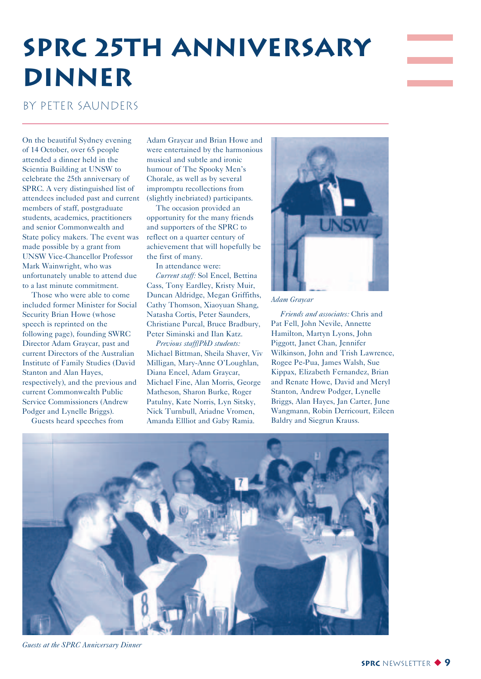## **SPRC 25th Anniversary Dinner**

#### By Peter Saunders

On the beautiful Sydney evening of 14 October, over 65 people attended a dinner held in the Scientia Building at UNSW to celebrate the 25th anniversary of SPRC. A very distinguished list of attendees included past and current members of staff, postgraduate students, academics, practitioners and senior Commonwealth and State policy makers. The event was made possible by a grant from UNSW Vice-Chancellor Professor Mark Wainwright, who was unfortunately unable to attend due to a last minute commitment.

Those who were able to come included former Minister for Social Security Brian Howe (whose speech is reprinted on the following page), founding SWRC Director Adam Graycar, past and current Directors of the Australian Institute of Family Studies (David Stanton and Alan Hayes, respectively), and the previous and current Commonwealth Public Service Commissioners (Andrew Podger and Lynelle Briggs).

Guests heard speeches from

Adam Graycar and Brian Howe and were entertained by the harmonious musical and subtle and ironic humour of The Spooky Men's Chorale, as well as by several impromptu recollections from (slightly inebriated) participants.

The occasion provided an opportunity for the many friends and supporters of the SPRC to reflect on a quarter century of achievement that will hopefully be the first of many.

In attendance were:

*Current staff:* Sol Encel, Bettina Cass, Tony Eardley, Kristy Muir, Duncan Aldridge, Megan Griffiths, Cathy Thomson, Xiaoyuan Shang, Natasha Cortis, Peter Saunders, Christiane Purcal, Bruce Bradbury, Peter Siminski and Ilan Katz.

*Previous staff/PhD students:* Michael Bittman, Sheila Shaver, Viv Milligan, Mary-Anne O'Loughlan, Diana Encel, Adam Graycar, Michael Fine, Alan Morris, George Matheson, Sharon Burke, Roger Patulny, Kate Norris, Lyn Sitsky, Nick Turnbull, Ariadne Vromen, Amanda Ellliot and Gaby Ramia.



*Adam Graycar*

*Friends and associates:* Chris and Pat Fell, John Nevile, Annette Hamilton, Martyn Lyons, John Piggott, Janet Chan, Jennifer Wilkinson, John and Trish Lawrence, Rogee Pe-Pua, James Walsh, Sue Kippax, Elizabeth Fernandez, Brian and Renate Howe, David and Meryl Stanton, Andrew Podger, Lynelle Briggs, Alan Hayes, Jan Carter, June Wangmann, Robin Derricourt, Eileen Baldry and Siegrun Krauss.



*Guests at the SPRC Anniversary Dinner*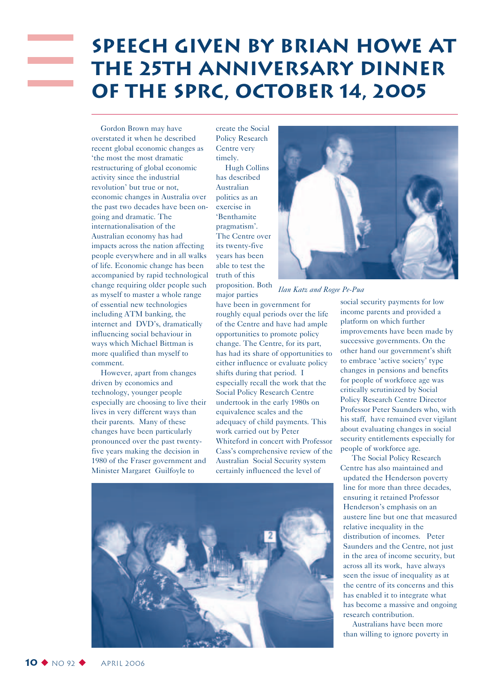## **Speech Given by Brian Howe at the 25th Anniversary Dinner of the SPRC, October 14, 2005**

Gordon Brown may have overstated it when he described recent global economic changes as 'the most the most dramatic restructuring of global economic activity since the industrial revolution' but true or not, economic changes in Australia over the past two decades have been ongoing and dramatic. The internationalisation of the Australian economy has had impacts across the nation affecting people everywhere and in all walks of life. Economic change has been accompanied by rapid technological change requiring older people such as myself to master a whole range of essential new technologies including ATM banking, the internet and DVD's, dramatically influencing social behaviour in ways which Michael Bittman is more qualified than myself to comment.

However, apart from changes driven by economics and technology, younger people especially are choosing to live their lives in very different ways than their parents. Many of these changes have been particularly pronounced over the past twentyfive years making the decision in 1980 of the Fraser government and Minister Margaret Guilfoyle to

create the Social Policy Research Centre very timely.

Hugh Collins has described Australian politics as an exercise in 'Benthamite pragmatism'. The Centre over its twenty-five years has been able to test the truth of this proposition. Both major parties

have been in government for roughly equal periods over the life of the Centre and have had ample opportunities to promote policy change. The Centre, for its part, has had its share of opportunities to either influence or evaluate policy shifts during that period. I especially recall the work that the Social Policy Research Centre undertook in the early 1980s on equivalence scales and the adequacy of child payments. This work carried out by Peter Whiteford in concert with Professor Cass's comprehensive review of the Australian Social Security system certainly influenced the level of



#### *Ilan Katz and Rogee Pe-Pua*

social security payments for low income parents and provided a platform on which further improvements have been made by successive governments. On the other hand our government's shift to embrace 'active society' type changes in pensions and benefits for people of workforce age was critically scrutinized by Social Policy Research Centre Director Professor Peter Saunders who, with his staff, have remained ever vigilant about evaluating changes in social security entitlements especially for people of workforce age.

The Social Policy Research Centre has also maintained and updated the Henderson poverty line for more than three decades, ensuring it retained Professor Henderson's emphasis on an austere line but one that measured relative inequality in the distribution of incomes. Peter Saunders and the Centre, not just in the area of income security, but across all its work, have always seen the issue of inequality as at the centre of its concerns and this has enabled it to integrate what has become a massive and ongoing research contribution.

Australians have been more than willing to ignore poverty in

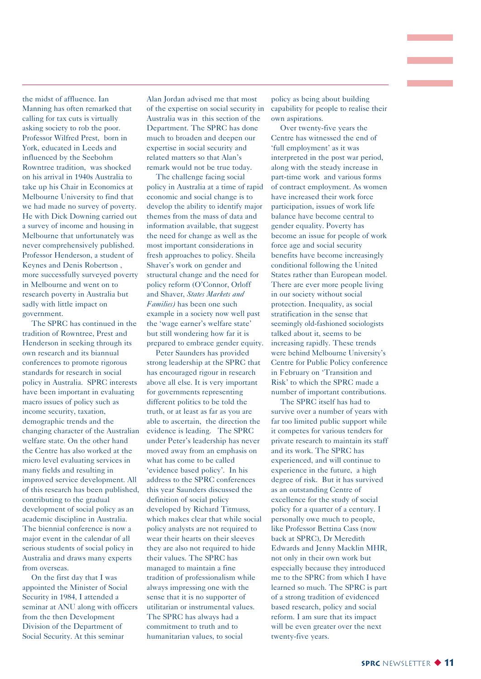the midst of affluence. Ian Manning has often remarked that calling for tax cuts is virtually asking society to rob the poor. Professor Wilfred Prest, born in York, educated in Leeds and influenced by the Seebohm Rowntree tradition, was shocked on his arrival in 1940s Australia to take up his Chair in Economics at Melbourne University to find that we had made no survey of poverty. He with Dick Downing carried out a survey of income and housing in Melbourne that unfortunately was never comprehensively published. Professor Henderson, a student of Keynes and Denis Robertson , more successfully surveyed poverty in Melbourne and went on to research poverty in Australia but sadly with little impact on government.

The SPRC has continued in the tradition of Rowntree, Prest and Henderson in seeking through its own research and its biannual conferences to promote rigorous standards for research in social policy in Australia. SPRC interests have been important in evaluating macro issues of policy such as income security, taxation, demographic trends and the changing character of the Australian welfare state. On the other hand the Centre has also worked at the micro level evaluating services in many fields and resulting in improved service development. All of this research has been published, contributing to the gradual development of social policy as an academic discipline in Australia. The biennial conference is now a major event in the calendar of all serious students of social policy in Australia and draws many experts from overseas.

On the first day that I was appointed the Minister of Social Security in 1984, I attended a seminar at ANU along with officers from the then Development Division of the Department of Social Security. At this seminar

Alan Jordan advised me that most of the expertise on social security in Australia was in this section of the Department. The SPRC has done much to broaden and deepen our expertise in social security and related matters so that Alan's remark would not be true today.

The challenge facing social policy in Australia at a time of rapid economic and social change is to develop the ability to identify major themes from the mass of data and information available, that suggest the need for change as well as the most important considerations in fresh approaches to policy. Sheila Shaver's work on gender and structural change and the need for policy reform (O'Connor, Orloff and Shaver, *States Markets and Families)* has been one such example in a society now well past the 'wage earner's welfare state' but still wondering how far it is prepared to embrace gender equity.

Peter Saunders has provided strong leadership at the SPRC that has encouraged rigour in research above all else. It is very important for governments representing different politics to be told the truth, or at least as far as you are able to ascertain, the direction the evidence is leading. The SPRC under Peter's leadership has never moved away from an emphasis on what has come to be called 'evidence based policy'. In his address to the SPRC conferences this year Saunders discussed the definition of social policy developed by Richard Titmuss, which makes clear that while social policy analysts are not required to wear their hearts on their sleeves they are also not required to hide their values. The SPRC has managed to maintain a fine tradition of professionalism while always impressing one with the sense that it is no supporter of utilitarian or instrumental values. The SPRC has always had a commitment to truth and to humanitarian values, to social

policy as being about building capability for people to realise their own aspirations.

Over twenty-five years the Centre has witnessed the end of 'full employment' as it was interpreted in the post war period, along with the steady increase in part-time work and various forms of contract employment. As women have increased their work force participation, issues of work life balance have become central to gender equality. Poverty has become an issue for people of work force age and social security benefits have become increasingly conditional following the United States rather than European model. There are ever more people living in our society without social protection. Inequality, as social stratification in the sense that seemingly old-fashioned sociologists talked about it, seems to be increasing rapidly. These trends were behind Melbourne University's Centre for Public Policy conference in February on 'Transition and Risk' to which the SPRC made a number of important contributions.

The SPRC itself has had to survive over a number of years with far too limited public support while it competes for various tenders for private research to maintain its staff and its work. The SPRC has experienced, and will continue to experience in the future, a high degree of risk. But it has survived as an outstanding Centre of excellence for the study of social policy for a quarter of a century. I personally owe much to people, like Professor Bettina Cass (now back at SPRC), Dr Meredith Edwards and Jenny Macklin MHR, not only in their own work but especially because they introduced me to the SPRC from which I have learned so much. The SPRC is part of a strong tradition of evidenced based research, policy and social reform. I am sure that its impact will be even greater over the next twenty-five years.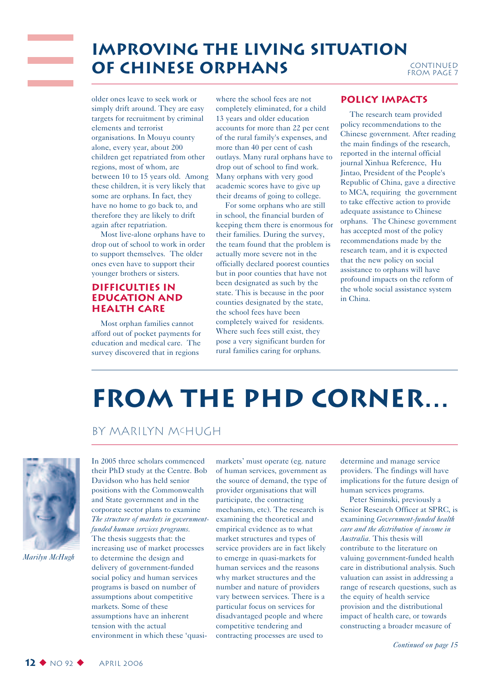### **improving the living situation of Chinese orphans** continued

older ones leave to seek work or simply drift around. They are easy targets for recruitment by criminal elements and terrorist organisations. In Mouyu county alone, every year, about 200 children get repatriated from other regions, most of whom, are between 10 to 15 years old. Among these children, it is very likely that some are orphans. In fact, they have no home to go back to, and therefore they are likely to drift again after repatriation.

Most live-alone orphans have to drop out of school to work in order to support themselves. The older ones even have to support their younger brothers or sisters.

#### **Difficulties in Education and health care**

Most orphan families cannot afford out of pocket payments for education and medical care. The survey discovered that in regions

where the school fees are not completely eliminated, for a child 13 years and older education accounts for more than 22 per cent of the rural family's expenses, and more than 40 per cent of cash outlays. Many rural orphans have to drop out of school to find work. Many orphans with very good academic scores have to give up their dreams of going to college.

For some orphans who are still in school, the financial burden of keeping them there is enormous for their families. During the survey, the team found that the problem is actually more severe not in the officially declared poorest counties but in poor counties that have not been designated as such by the state. This is because in the poor counties designated by the state, the school fees have been completely waived for residents. Where such fees still exist, they pose a very significant burden for rural families caring for orphans.

#### **Policy Impacts**

The research team provided policy recommendations to the Chinese government. After reading the main findings of the research, reported in the internal official journal Xinhua Reference, Hu Jintao, President of the People's Republic of China, gave a directive to MCA, requiring the government to take effective action to provide adequate assistance to Chinese orphans. The Chinese government has accepted most of the policy recommendations made by the research team, and it is expected that the new policy on social assistance to orphans will have profound impacts on the reform of the whole social assistance system in China.

## **From the PhD Corner…**

#### By Marilyn McHugh



*Marilyn McHugh*

In 2005 three scholars commenced their PhD study at the Centre. Bob Davidson who has held senior positions with the Commonwealth and State government and in the corporate sector plans to examine *The structure of markets in governmentfunded human services programs.* The thesis suggests that: the increasing use of market processes to determine the design and delivery of government-funded social policy and human services programs is based on number of assumptions about competitive markets. Some of these assumptions have an inherent tension with the actual

environment in which these 'quasi-

markets' must operate (eg. nature of human services, government as the source of demand, the type of provider organisations that will participate, the contracting mechanism, etc). The research is examining the theoretical and empirical evidence as to what market structures and types of service providers are in fact likely to emerge in quasi-markets for human services and the reasons why market structures and the number and nature of providers vary between services. There is a particular focus on services for disadvantaged people and where competitive tendering and contracting processes are used to

determine and manage service providers. The findings will have implications for the future design of human services programs.

Peter Siminski, previously a Senior Research Officer at SPRC, is examining *Government-funded health care and the distribution of income in Australia.* This thesis will contribute to the literature on valuing government-funded health care in distributional analysis. Such valuation can assist in addressing a range of research questions, such as the equity of health service provision and the distributional impact of health care, or towards constructing a broader measure of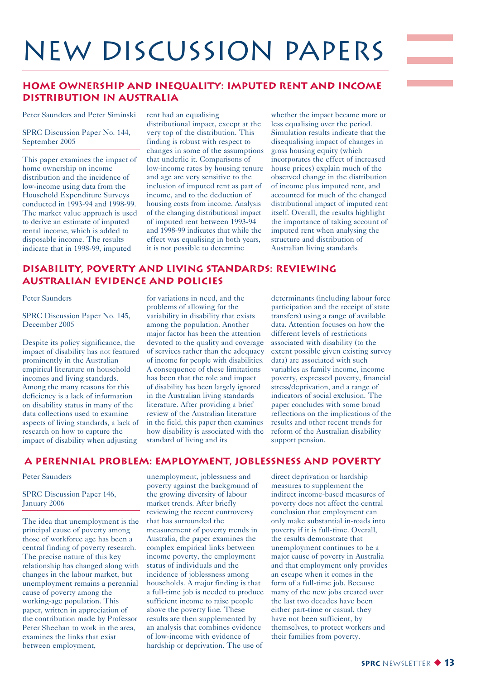## NEW Discussion Papers

#### **Home Ownership and Inequality: Imputed Rent and Income Distribution in Australia**

Peter Saunders and Peter Siminski

#### SPRC Discussion Paper No. 144, September 2005

This paper examines the impact of home ownership on income distribution and the incidence of low-income using data from the Household Expenditure Surveys conducted in 1993-94 and 1998-99. The market value approach is used to derive an estimate of imputed rental income, which is added to disposable income. The results indicate that in 1998-99, imputed

rent had an equalising distributional impact, except at the very top of the distribution. This finding is robust with respect to changes in some of the assumptions that underlie it. Comparisons of low-income rates by housing tenure and age are very sensitive to the inclusion of imputed rent as part of income, and to the deduction of housing costs from income. Analysis of the changing distributional impact of imputed rent between 1993-94 and 1998-99 indicates that while the effect was equalising in both years, it is not possible to determine

whether the impact became more or less equalising over the period. Simulation results indicate that the disequalising impact of changes in gross housing equity (which incorporates the effect of increased house prices) explain much of the observed change in the distribution of income plus imputed rent, and accounted for much of the changed distributional impact of imputed rent itself. Overall, the results highlight the importance of taking account of imputed rent when analysing the structure and distribution of Australian living standards.

#### **Disability, Poverty and Living Standards: Reviewing Australian Evidence and Policies**

#### Peter Saunders

SPRC Discussion Paper No. 145, December 2005

Despite its policy significance, the impact of disability has not featured prominently in the Australian empirical literature on household incomes and living standards. Among the many reasons for this deficiency is a lack of information on disability status in many of the data collections used to examine aspects of living standards, a lack of research on how to capture the impact of disability when adjusting

for variations in need, and the problems of allowing for the variability in disability that exists among the population. Another major factor has been the attention devoted to the quality and coverage of services rather than the adequacy of income for people with disabilities. A consequence of these limitations has been that the role and impact of disability has been largely ignored in the Australian living standards literature. After providing a brief review of the Australian literature in the field, this paper then examines how disability is associated with the standard of living and its

determinants (including labour force participation and the receipt of state transfers) using a range of available data. Attention focuses on how the different levels of restrictions associated with disability (to the extent possible given existing survey data) are associated with such variables as family income, income poverty, expressed poverty, financial stress/deprivation, and a range of indicators of social exclusion. The paper concludes with some broad reflections on the implications of the results and other recent trends for reform of the Australian disability support pension.

#### **A Perennial Problem: Employment, Joblessness and Poverty**

#### Peter Saunders

SPRC Discussion Paper 146, January 2006

The idea that unemployment is the principal cause of poverty among those of workforce age has been a central finding of poverty research. The precise nature of this key relationship has changed along with changes in the labour market, but unemployment remains a perennial cause of poverty among the working-age population. This paper, written in appreciation of the contribution made by Professor Peter Sheehan to work in the area, examines the links that exist between employment,

unemployment, joblessness and poverty against the background of the growing diversity of labour market trends. After briefly reviewing the recent controversy that has surrounded the measurement of poverty trends in Australia, the paper examines the complex empirical links between income poverty, the employment status of individuals and the incidence of joblessness among households. A major finding is that a full-time job is needed to produce sufficient income to raise people above the poverty line. These results are then supplemented by an analysis that combines evidence of low-income with evidence of hardship or deprivation. The use of

direct deprivation or hardship measures to supplement the indirect income-based measures of poverty does not affect the central conclusion that employment can only make substantial in-roads into poverty if it is full-time. Overall, the results demonstrate that unemployment continues to be a major cause of poverty in Australia and that employment only provides an escape when it comes in the form of a full-time job. Because many of the new jobs created over the last two decades have been either part-time or casual, they have not been sufficient, by themselves, to protect workers and their families from poverty.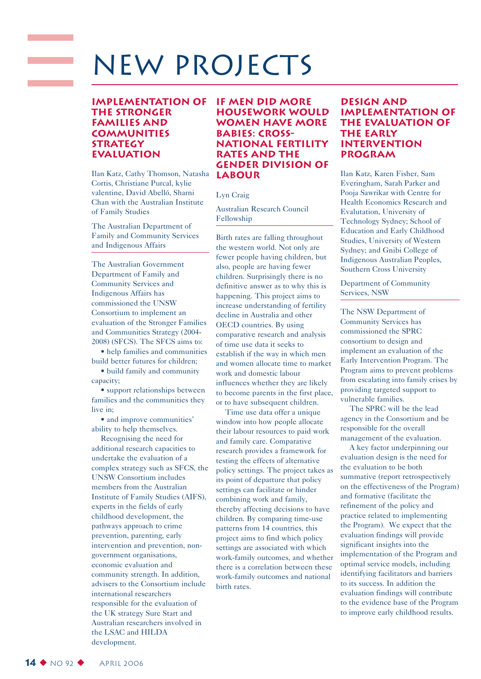## New Projects

#### **Implementation of the Stronger Families and Communities STRATEGY Evaluation**

Ilan Katz, Cathy Thomson, Natasha Cortis, Christiane Purcal, kylie valentine, David Abelló, Sharni Chan with the Australian Institute of Family Studies

The Australian Department of Family and Community Services and Indigenous Affairs

The Australian Government Department of Family and Community Services and Indigenous Affairs has commissioned the UNSW Consortium to implement an evaluation of the Stronger Families and Communities Strategy (2004- 2008) (SFCS). The SFCS aims to:

• help families and communities build better futures for children;

• build family and community capacity;

• support relationships between families and the communities they live in;

• and improve communities' ability to help themselves.

Recognising the need for additional research capacities to undertake the evaluation of a complex strategy such as SFCS, the UNSW Consortium includes members from the Australian Institute of Family Studies (AIFS), experts in the fields of early childhood development, the pathways approach to crime prevention, parenting, early intervention and prevention, nongovernment organisations, economic evaluation and community strength. In addition, advisers to the Consortium include international researchers responsible for the evaluation of the UK strategy Sure Start and Australian researchers involved in the LSAC and HILDA development.

#### **If men did more housework would women have more babies: crossnational fertility rates and the gender division of labour**

#### Lyn Craig

Australian Research Council Fellowship

Birth rates are falling throughout the western world. Not only are fewer people having children, but also, people are having fewer children. Surprisingly there is no definitive answer as to why this is happening. This project aims to increase understanding of fertility decline in Australia and other OECD countries. By using comparative research and analysis of time use data it seeks to establish if the way in which men and women allocate time to market work and domestic labour influences whether they are likely to become parents in the first place, or to have subsequent children.

Time use data offer a unique window into how people allocate their labour resources to paid work and family care. Comparative research provides a framework for testing the effects of alternative policy settings. The project takes as its point of departure that policy settings can facilitate or hinder combining work and family, thereby affecting decisions to have children. By comparing time-use patterns from 14 countries, this project aims to find which policy settings are associated with which work-family outcomes, and whether there is a correlation between these work-family outcomes and national birth rates.

#### **Design and implementation of the evaluation of the early intervention program**

Ilan Katz, Karen Fisher, Sam Everingham, Sarah Parker and Pooja Sawrikar with Centre for Health Economics Research and Evalutation, University of Technology Sydney; School of Education and Early Childhood Studies, University of Western Sydney; and Gnibi College of Indigenous Australian Peoples, Southern Cross University

Department of Community Services, NSW

The NSW Department of Community Services has commissioned the SPRC consortium to design and implement an evaluation of the Early Intervention Program. The Program aims to prevent problems from escalating into family crises by providing targeted support to vulnerable families.

The SPRC will be the lead agency in the Consortium and be responsible for the overall management of the evaluation.

A key factor underpinning our evaluation design is the need for the evaluation to be both summative (report retrospectively on the effectiveness of the Program) and formative (facilitate the refinement of the policy and practice related to implementing the Program). We expect that the evaluation findings will provide significant insights into the implementation of the Program and optimal service models, including identifying facilitators and barriers to its success. In addition the evaluation findings will contribute to the evidence base of the Program to improve early childhood results.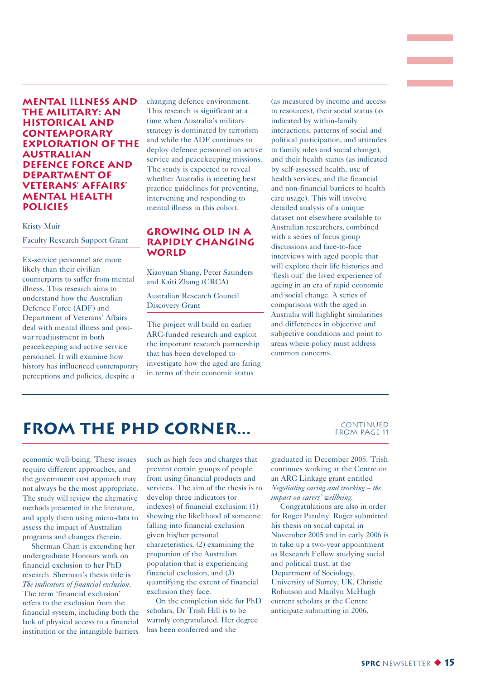#### **Mental illness and the military: an historical and contemporary exploration of the Australian Defence Force and Department of Veterans' Affairs' mental health policies**

#### Kristy Muir

Faculty Research Support Grant

Ex-service personnel are more likely than their civilian counterparts to suffer from mental illness. This research aims to understand how the Australian Defence Force (ADF) and Department of Veterans' Affairs deal with mental illness and postwar readjustment in both peacekeeping and active service personnel. It will examine how history has influenced contemporary perceptions and policies, despite a

changing defence environment. This research is significant at a time when Australia's military strategy is dominated by terrorism and while the ADF continues to deploy defence personnel on active service and peacekeeping missions. The study is expected to reveal whether Australia is meeting best practice guidelines for preventing, intervening and responding to mental illness in this cohort.

#### **Growing Old in a Rapidly Changing World**

Xiaoyuan Shang, Peter Saunders and Kaiti Zhang (CRCA)

Australian Research Council Discovery Grant

The project will build on earlier ARC-funded research and exploit the important research partnership that has been developed to investigate how the aged are faring in terms of their economic status

(as measured by income and access to resources), their social status (as indicated by within-family interactions, patterns of social and political participation, and attitudes to family roles and social change), and their health status (as indicated by self-assessed health, use of health services, and the financial and non-financial barriers to health care usage). This will involve detailed analysis of a unique dataset not elsewhere available to Australian researchers, combined with a series of focus group discussions and face-to-face interviews with aged people that will explore their life histories and 'flesh out' the lived experience of ageing in an era of rapid economic and social change. A series of comparisons with the aged in Australia will highlight similarities and differences in objective and subjective conditions and point to areas where policy must address common concerns.

### **FROM THE PHD CORNER...** CONTINUED

### from Page 11

economic well-being. These issues require different approaches, and the government cost approach may not always be the most appropriate. The study will review the alternative methods presented in the literature, and apply them using micro-data to assess the impact of Australian programs and changes therein.

Sherman Chan is extending her undergraduate Honours work on financial exclusion to her PhD research. Sherman's thesis title is *The indicators of financial exclusion.* The term 'financial exclusion' refers to the exclusion from the financial system, including both the lack of physical access to a financial institution or the intangible barriers

such as high fees and charges that prevent certain groups of people from using financial products and services. The aim of the thesis is to develop three indicators (or indexes) of financial exclusion: (1) showing the likelihood of someone falling into financial exclusion given his/her personal characteristics, (2) examining the proportion of the Australian population that is experiencing financial exclusion, and (3) quantifying the extent of financial exclusion they face.

On the completion side for PhD scholars, Dr Trish Hill is to be warmly congratulated. Her degree has been conferred and she

graduated in December 2005. Trish continues working at the Centre on an ARC Linkage grant entitled *Negotiating caring and working – the impact on carers' wellbeing.* 

Congratulations are also in order for Roger Patulny. Roger submitted his thesis on social capital in November 2005 and in early 2006 is to take up a two-year appointment as Research Fellow studying social and political trust, at the Department of Sociology, University of Surrey, UK. Christie Robinson and Marilyn McHugh current scholars at the Centre anticipate submitting in 2006.